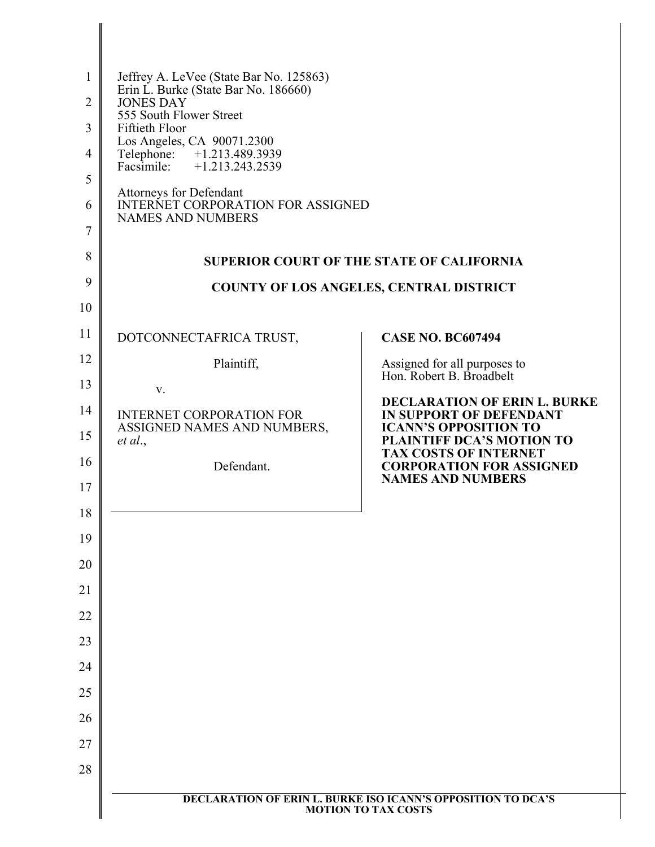| 1<br>$\overline{2}$<br>3<br>$\overline{4}$<br>5<br>6<br>7<br>8<br>9<br>10<br>11 | Jeffrey A. LeVee (State Bar No. 125863)<br>Erin L. Burke (State Bar No. 186660)<br><b>JONES DAY</b><br>555 South Flower Street<br>Fiftieth Floor<br>Los Angeles, CA 90071.2300<br>Telephone: +1.213.489.3939<br>Facsimile: $+1.213.243.2539$<br><b>Attorneys for Defendant</b><br><b>INTERNET CORPORATION FOR ASSIGNED</b><br><b>NAMES AND NUMBERS</b><br>DOTCONNECTAFRICA TRUST, | <b>SUPERIOR COURT OF THE STATE OF CALIFORNIA</b><br><b>COUNTY OF LOS ANGELES, CENTRAL DISTRICT</b><br><b>CASE NO. BC607494</b> |
|---------------------------------------------------------------------------------|-----------------------------------------------------------------------------------------------------------------------------------------------------------------------------------------------------------------------------------------------------------------------------------------------------------------------------------------------------------------------------------|--------------------------------------------------------------------------------------------------------------------------------|
| 12                                                                              | Plaintiff,                                                                                                                                                                                                                                                                                                                                                                        | Assigned for all purposes to                                                                                                   |
| 13                                                                              | V.                                                                                                                                                                                                                                                                                                                                                                                | Hon. Robert B. Broadbelt                                                                                                       |
| 14                                                                              | <b>INTERNET CORPORATION FOR</b>                                                                                                                                                                                                                                                                                                                                                   | <b>DECLARATION OF ERIN L. BURKE</b><br><b>IN SUPPORT OF DEFENDANT</b>                                                          |
| 15                                                                              | ASSIGNED NAMES AND NUMBERS,<br>et al.,                                                                                                                                                                                                                                                                                                                                            | <b>ICANN'S OPPOSITION TO</b><br><b>PLAINTIFF DCA'S MOTION TO</b><br><b>TAX COSTS OF INTERNET</b>                               |
| 16                                                                              | Defendant.                                                                                                                                                                                                                                                                                                                                                                        | <b>CORPORATION FOR ASSIGNED</b><br><b>NAMES AND NUMBERS</b>                                                                    |
| 17                                                                              |                                                                                                                                                                                                                                                                                                                                                                                   |                                                                                                                                |
| 18                                                                              |                                                                                                                                                                                                                                                                                                                                                                                   |                                                                                                                                |
| 19                                                                              |                                                                                                                                                                                                                                                                                                                                                                                   |                                                                                                                                |
| 20                                                                              |                                                                                                                                                                                                                                                                                                                                                                                   |                                                                                                                                |
| 21                                                                              |                                                                                                                                                                                                                                                                                                                                                                                   |                                                                                                                                |
| 22<br>23                                                                        |                                                                                                                                                                                                                                                                                                                                                                                   |                                                                                                                                |
| 24                                                                              |                                                                                                                                                                                                                                                                                                                                                                                   |                                                                                                                                |
| 25                                                                              |                                                                                                                                                                                                                                                                                                                                                                                   |                                                                                                                                |
| 26                                                                              |                                                                                                                                                                                                                                                                                                                                                                                   |                                                                                                                                |
| 27                                                                              |                                                                                                                                                                                                                                                                                                                                                                                   |                                                                                                                                |
| 28                                                                              |                                                                                                                                                                                                                                                                                                                                                                                   |                                                                                                                                |
|                                                                                 |                                                                                                                                                                                                                                                                                                                                                                                   | <b>DECLARATION OF ERIN L. BURKE ISO ICANN'S OPPOSITION TO DCA'S</b>                                                            |
|                                                                                 |                                                                                                                                                                                                                                                                                                                                                                                   | <b>MOTION TO TAX COSTS</b>                                                                                                     |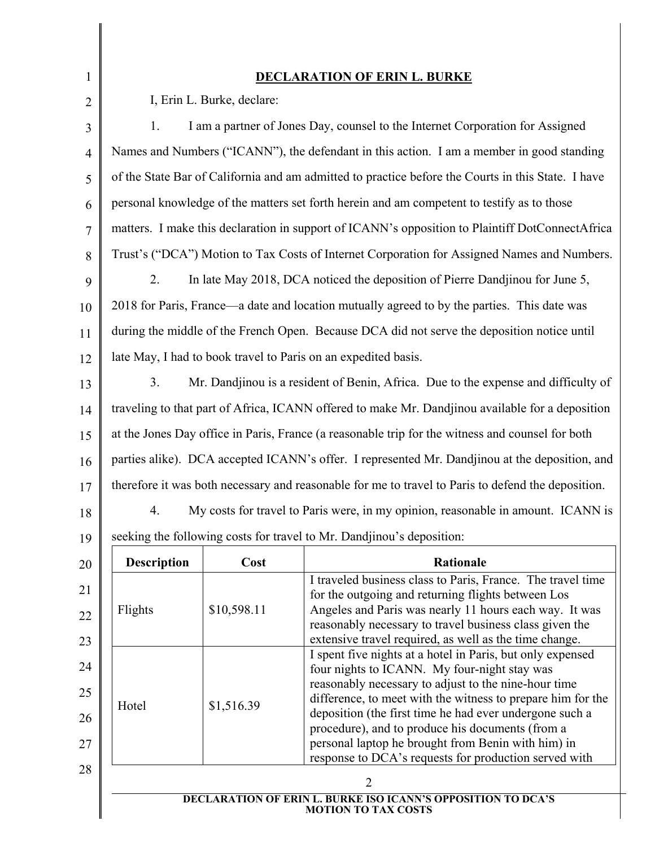| $\mathbf{1}$               | <b>DECLARATION OF ERIN L. BURKE</b>                                                                |                                                                                           |                                                                                                                                                                                                                                                                                                                                                                                                                                                                 |  |  |
|----------------------------|----------------------------------------------------------------------------------------------------|-------------------------------------------------------------------------------------------|-----------------------------------------------------------------------------------------------------------------------------------------------------------------------------------------------------------------------------------------------------------------------------------------------------------------------------------------------------------------------------------------------------------------------------------------------------------------|--|--|
| $\overline{2}$             | I, Erin L. Burke, declare:                                                                         |                                                                                           |                                                                                                                                                                                                                                                                                                                                                                                                                                                                 |  |  |
| 3                          | I am a partner of Jones Day, counsel to the Internet Corporation for Assigned<br>1.                |                                                                                           |                                                                                                                                                                                                                                                                                                                                                                                                                                                                 |  |  |
| $\overline{4}$             |                                                                                                    | Names and Numbers ("ICANN"), the defendant in this action. I am a member in good standing |                                                                                                                                                                                                                                                                                                                                                                                                                                                                 |  |  |
| 5                          | of the State Bar of California and am admitted to practice before the Courts in this State. I have |                                                                                           |                                                                                                                                                                                                                                                                                                                                                                                                                                                                 |  |  |
| 6                          | personal knowledge of the matters set forth herein and am competent to testify as to those         |                                                                                           |                                                                                                                                                                                                                                                                                                                                                                                                                                                                 |  |  |
| 7                          | matters. I make this declaration in support of ICANN's opposition to Plaintiff DotConnectAfrica    |                                                                                           |                                                                                                                                                                                                                                                                                                                                                                                                                                                                 |  |  |
| 8                          | Trust's ("DCA") Motion to Tax Costs of Internet Corporation for Assigned Names and Numbers.        |                                                                                           |                                                                                                                                                                                                                                                                                                                                                                                                                                                                 |  |  |
| 9                          | In late May 2018, DCA noticed the deposition of Pierre Dandjinou for June 5,<br>2.                 |                                                                                           |                                                                                                                                                                                                                                                                                                                                                                                                                                                                 |  |  |
| 10                         | 2018 for Paris, France—a date and location mutually agreed to by the parties. This date was        |                                                                                           |                                                                                                                                                                                                                                                                                                                                                                                                                                                                 |  |  |
| 11                         | during the middle of the French Open. Because DCA did not serve the deposition notice until        |                                                                                           |                                                                                                                                                                                                                                                                                                                                                                                                                                                                 |  |  |
| 12                         | late May, I had to book travel to Paris on an expedited basis.                                     |                                                                                           |                                                                                                                                                                                                                                                                                                                                                                                                                                                                 |  |  |
| 13                         | Mr. Dandjinou is a resident of Benin, Africa. Due to the expense and difficulty of<br>3.           |                                                                                           |                                                                                                                                                                                                                                                                                                                                                                                                                                                                 |  |  |
| 14                         | traveling to that part of Africa, ICANN offered to make Mr. Dandjinou available for a deposition   |                                                                                           |                                                                                                                                                                                                                                                                                                                                                                                                                                                                 |  |  |
| 15                         | at the Jones Day office in Paris, France (a reasonable trip for the witness and counsel for both   |                                                                                           |                                                                                                                                                                                                                                                                                                                                                                                                                                                                 |  |  |
| 16                         | parties alike). DCA accepted ICANN's offer. I represented Mr. Dandjinou at the deposition, and     |                                                                                           |                                                                                                                                                                                                                                                                                                                                                                                                                                                                 |  |  |
| 17                         | therefore it was both necessary and reasonable for me to travel to Paris to defend the deposition. |                                                                                           |                                                                                                                                                                                                                                                                                                                                                                                                                                                                 |  |  |
| 18                         | 4.                                                                                                 |                                                                                           | My costs for travel to Paris were, in my opinion, reasonable in amount. ICANN is                                                                                                                                                                                                                                                                                                                                                                                |  |  |
| 19                         |                                                                                                    |                                                                                           | seeking the following costs for travel to Mr. Dandjinou's deposition:                                                                                                                                                                                                                                                                                                                                                                                           |  |  |
| 20                         | <b>Description</b>                                                                                 | Cost                                                                                      | Rationale                                                                                                                                                                                                                                                                                                                                                                                                                                                       |  |  |
| 21<br>22<br>23             | Flights                                                                                            | \$10,598.11                                                                               | I traveled business class to Paris, France. The travel time<br>for the outgoing and returning flights between Los<br>Angeles and Paris was nearly 11 hours each way. It was<br>reasonably necessary to travel business class given the<br>extensive travel required, as well as the time change.                                                                                                                                                                |  |  |
| 24<br>25<br>26<br>27<br>28 | Hotel                                                                                              | \$1,516.39                                                                                | I spent five nights at a hotel in Paris, but only expensed<br>four nights to ICANN. My four-night stay was<br>reasonably necessary to adjust to the nine-hour time<br>difference, to meet with the witness to prepare him for the<br>deposition (the first time he had ever undergone such a<br>procedure), and to produce his documents (from a<br>personal laptop he brought from Benin with him) in<br>response to DCA's requests for production served with |  |  |
|                            | $\overline{2}$                                                                                     |                                                                                           |                                                                                                                                                                                                                                                                                                                                                                                                                                                                 |  |  |
|                            | <b>DECLARATION OF ERIN L. BURKE ISO ICANN'S OPPOSITION TO DCA'S</b><br><b>MOTION TO TAX COSTS</b>  |                                                                                           |                                                                                                                                                                                                                                                                                                                                                                                                                                                                 |  |  |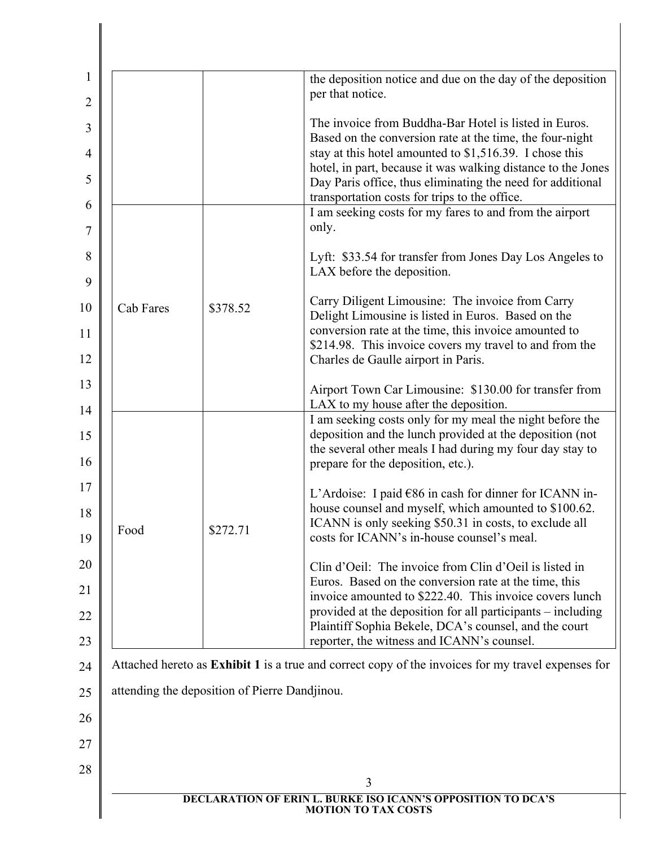|           |                                               | the deposition notice and due on the day of the deposition<br>per that notice.                                                                                                                                                                                                                                                                              |
|-----------|-----------------------------------------------|-------------------------------------------------------------------------------------------------------------------------------------------------------------------------------------------------------------------------------------------------------------------------------------------------------------------------------------------------------------|
|           |                                               | The invoice from Buddha-Bar Hotel is listed in Euros.<br>Based on the conversion rate at the time, the four-night<br>stay at this hotel amounted to \$1,516.39. I chose this<br>hotel, in part, because it was walking distance to the Jones<br>Day Paris office, thus eliminating the need for additional<br>transportation costs for trips to the office. |
|           |                                               | I am seeking costs for my fares to and from the airport<br>only.                                                                                                                                                                                                                                                                                            |
|           |                                               | Lyft: \$33.54 for transfer from Jones Day Los Angeles to<br>LAX before the deposition.                                                                                                                                                                                                                                                                      |
| Cab Fares | \$378.52                                      | Carry Diligent Limousine: The invoice from Carry<br>Delight Limousine is listed in Euros. Based on the<br>conversion rate at the time, this invoice amounted to<br>\$214.98. This invoice covers my travel to and from the<br>Charles de Gaulle airport in Paris.                                                                                           |
|           |                                               | Airport Town Car Limousine: \$130.00 for transfer from<br>LAX to my house after the deposition.                                                                                                                                                                                                                                                             |
|           |                                               | I am seeking costs only for my meal the night before the<br>deposition and the lunch provided at the deposition (not<br>the several other meals I had during my four day stay to<br>prepare for the deposition, etc.).                                                                                                                                      |
| Food      | \$272.71                                      | L'Ardoise: I paid $686$ in cash for dinner for ICANN in-<br>house counsel and myself, which amounted to \$100.62.<br>ICANN is only seeking \$50.31 in costs, to exclude all<br>costs for ICANN's in-house counsel's meal.                                                                                                                                   |
|           |                                               | Clin d'Oeil: The invoice from Clin d'Oeil is listed in<br>Euros. Based on the conversion rate at the time, this<br>invoice amounted to \$222.40. This invoice covers lunch<br>provided at the deposition for all participants – including<br>Plaintiff Sophia Bekele, DCA's counsel, and the court<br>reporter, the witness and ICANN's counsel.            |
|           |                                               | Attached hereto as Exhibit 1 is a true and correct copy of the invoices for my travel expenses for                                                                                                                                                                                                                                                          |
|           | attending the deposition of Pierre Dandjinou. |                                                                                                                                                                                                                                                                                                                                                             |
|           |                                               |                                                                                                                                                                                                                                                                                                                                                             |
|           |                                               |                                                                                                                                                                                                                                                                                                                                                             |
|           |                                               | 3                                                                                                                                                                                                                                                                                                                                                           |